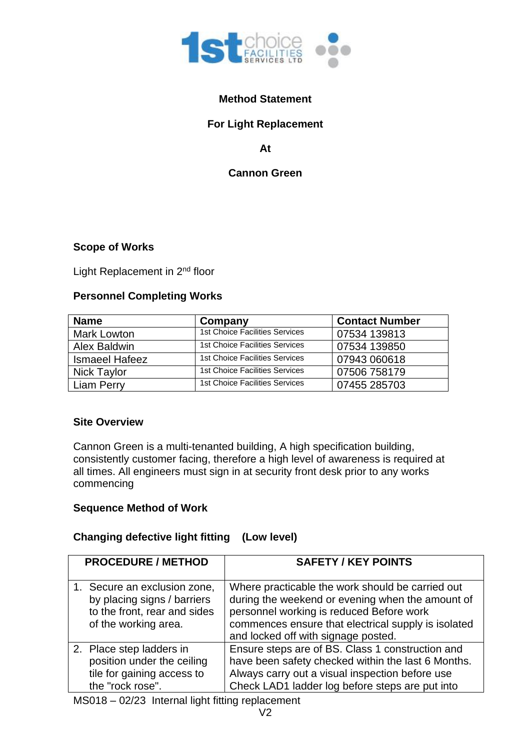

# **Method Statement**

# **For Light Replacement**

**At**

## **Cannon Green**

#### **Scope of Works**

Light Replacement in 2<sup>nd</sup> floor

# **Personnel Completing Works**

| <b>Name</b>           | Company                               | <b>Contact Number</b> |
|-----------------------|---------------------------------------|-----------------------|
| <b>Mark Lowton</b>    | <b>1st Choice Facilities Services</b> | 07534 139813          |
| Alex Baldwin          | 1st Choice Facilities Services        | 07534 139850          |
| <b>Ismaeel Hafeez</b> | 1st Choice Facilities Services        | 07943 060618          |
| <b>Nick Taylor</b>    | 1st Choice Facilities Services        | 07506 758179          |
| Liam Perry            | 1st Choice Facilities Services        | 07455 285703          |

#### **Site Overview**

Cannon Green is a multi-tenanted building, A high specification building, consistently customer facing, therefore a high level of awareness is required at all times. All engineers must sign in at security front desk prior to any works commencing

## **Sequence Method of Work**

## **Changing defective light fitting (Low level)**

| <b>PROCEDURE / METHOD</b>                                                                                           | <b>SAFETY / KEY POINTS</b>                                                                                                                                                                                                                     |
|---------------------------------------------------------------------------------------------------------------------|------------------------------------------------------------------------------------------------------------------------------------------------------------------------------------------------------------------------------------------------|
| 1. Secure an exclusion zone,<br>by placing signs / barriers<br>to the front, rear and sides<br>of the working area. | Where practicable the work should be carried out<br>during the weekend or evening when the amount of<br>personnel working is reduced Before work<br>commences ensure that electrical supply is isolated<br>and locked off with signage posted. |
| 2. Place step ladders in<br>position under the ceiling<br>tile for gaining access to<br>the "rock rose".            | Ensure steps are of BS. Class 1 construction and<br>have been safety checked within the last 6 Months.<br>Always carry out a visual inspection before use<br>Check LAD1 ladder log before steps are put into                                   |

MS018 – 02/23 Internal light fitting replacement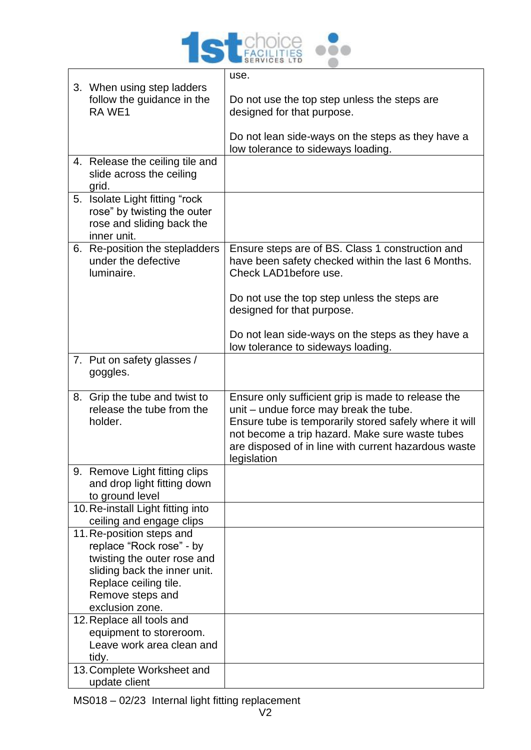

|                                                                                                                                                                                      | use.                                                                                                                                                                                                                                                                             |
|--------------------------------------------------------------------------------------------------------------------------------------------------------------------------------------|----------------------------------------------------------------------------------------------------------------------------------------------------------------------------------------------------------------------------------------------------------------------------------|
| 3. When using step ladders<br>follow the guidance in the<br>RA WE1                                                                                                                   | Do not use the top step unless the steps are<br>designed for that purpose.                                                                                                                                                                                                       |
|                                                                                                                                                                                      | Do not lean side-ways on the steps as they have a<br>low tolerance to sideways loading.                                                                                                                                                                                          |
| 4. Release the ceiling tile and<br>slide across the ceiling<br>grid.                                                                                                                 |                                                                                                                                                                                                                                                                                  |
| 5. Isolate Light fitting "rock<br>rose" by twisting the outer<br>rose and sliding back the<br>inner unit.                                                                            |                                                                                                                                                                                                                                                                                  |
| 6. Re-position the stepladders<br>under the defective<br>luminaire.                                                                                                                  | Ensure steps are of BS. Class 1 construction and<br>have been safety checked within the last 6 Months.<br>Check LAD1before use.                                                                                                                                                  |
|                                                                                                                                                                                      | Do not use the top step unless the steps are<br>designed for that purpose.                                                                                                                                                                                                       |
|                                                                                                                                                                                      | Do not lean side-ways on the steps as they have a<br>low tolerance to sideways loading.                                                                                                                                                                                          |
| 7. Put on safety glasses /<br>goggles.                                                                                                                                               |                                                                                                                                                                                                                                                                                  |
| 8. Grip the tube and twist to<br>release the tube from the<br>holder.                                                                                                                | Ensure only sufficient grip is made to release the<br>unit - undue force may break the tube.<br>Ensure tube is temporarily stored safely where it will<br>not become a trip hazard. Make sure waste tubes<br>are disposed of in line with current hazardous waste<br>legislation |
| 9. Remove Light fitting clips<br>and drop light fitting down<br>to ground level                                                                                                      |                                                                                                                                                                                                                                                                                  |
| 10. Re-install Light fitting into<br>ceiling and engage clips                                                                                                                        |                                                                                                                                                                                                                                                                                  |
| 11. Re-position steps and<br>replace "Rock rose" - by<br>twisting the outer rose and<br>sliding back the inner unit.<br>Replace ceiling tile.<br>Remove steps and<br>exclusion zone. |                                                                                                                                                                                                                                                                                  |
| 12. Replace all tools and<br>equipment to storeroom.<br>Leave work area clean and<br>tidy.<br>13. Complete Worksheet and                                                             |                                                                                                                                                                                                                                                                                  |
| update client                                                                                                                                                                        |                                                                                                                                                                                                                                                                                  |

MS018 – 02/23 Internal light fitting replacement